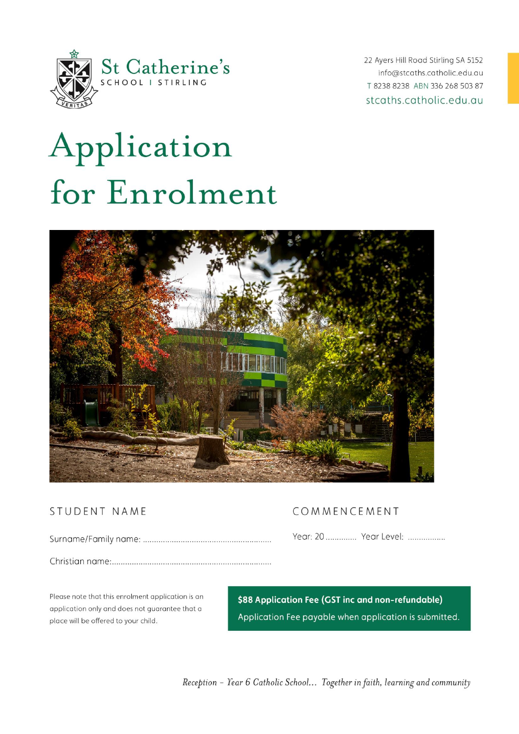

22 Ayers Hill Road Stirling SA 5152 info@stcaths.catholic.edu.au T 8238 8238 ABN 336 268 503 87 stcaths.catholic.edu.au

# Application for Enrolment



# STUDENT NAME

# COMMENCEMENT

Year: 20 .............. Year Level: .................

Please note that this enrolment application is an application only and does not guarantee that a place will be offered to your child.

\$88 Application Fee (GST inc and non-refundable) Application Fee payable when application is submitted.

Reception - Year 6 Catholic School... Together in faith, learning and community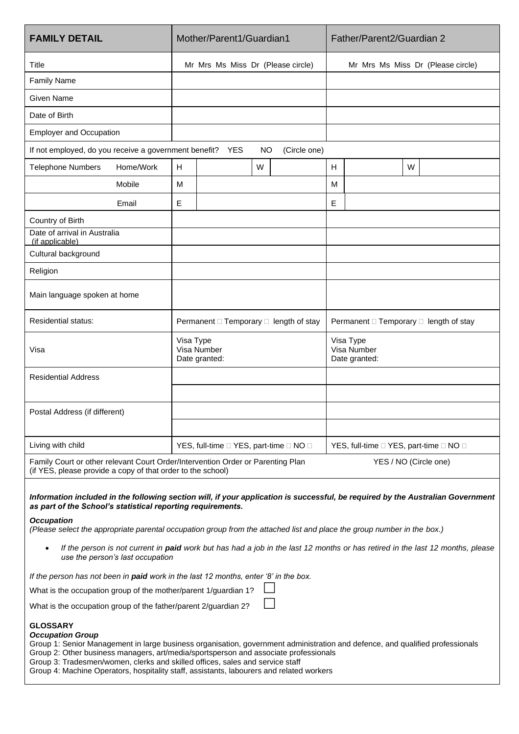| <b>FAMILY DETAIL</b>                                                                                                                                                    |           | Mother/Parent1/Guardian1                                       |  |           |              |                                           | Father/Parent2/Guardian 2         |  |  |
|-------------------------------------------------------------------------------------------------------------------------------------------------------------------------|-----------|----------------------------------------------------------------|--|-----------|--------------|-------------------------------------------|-----------------------------------|--|--|
| Title                                                                                                                                                                   |           | Mr Mrs Ms Miss Dr (Please circle)                              |  |           |              |                                           | Mr Mrs Ms Miss Dr (Please circle) |  |  |
| <b>Family Name</b>                                                                                                                                                      |           |                                                                |  |           |              |                                           |                                   |  |  |
| <b>Given Name</b>                                                                                                                                                       |           |                                                                |  |           |              |                                           |                                   |  |  |
| Date of Birth                                                                                                                                                           |           |                                                                |  |           |              |                                           |                                   |  |  |
| <b>Employer and Occupation</b>                                                                                                                                          |           |                                                                |  |           |              |                                           |                                   |  |  |
| If not employed, do you receive a government benefit? YES                                                                                                               |           |                                                                |  | <b>NO</b> | (Circle one) |                                           |                                   |  |  |
| <b>Telephone Numbers</b>                                                                                                                                                | Home/Work | H                                                              |  | W         |              | H                                         | W                                 |  |  |
|                                                                                                                                                                         | Mobile    | М                                                              |  |           |              | M                                         |                                   |  |  |
|                                                                                                                                                                         | Email     | Ε                                                              |  |           |              | E                                         |                                   |  |  |
| Country of Birth                                                                                                                                                        |           |                                                                |  |           |              |                                           |                                   |  |  |
| Date of arrival in Australia<br>(if applicable)                                                                                                                         |           |                                                                |  |           |              |                                           |                                   |  |  |
| Cultural background                                                                                                                                                     |           |                                                                |  |           |              |                                           |                                   |  |  |
| Religion                                                                                                                                                                |           |                                                                |  |           |              |                                           |                                   |  |  |
| Main language spoken at home                                                                                                                                            |           |                                                                |  |           |              |                                           |                                   |  |  |
| <b>Residential status:</b>                                                                                                                                              |           | Permanent □ Temporary □ length of stay                         |  |           |              | Permanent □ Temporary □ length of stay    |                                   |  |  |
| Visa                                                                                                                                                                    |           | Visa Type<br>Visa Number<br>Date granted:                      |  |           |              | Visa Type<br>Visa Number<br>Date granted: |                                   |  |  |
| <b>Residential Address</b>                                                                                                                                              |           |                                                                |  |           |              |                                           |                                   |  |  |
|                                                                                                                                                                         |           |                                                                |  |           |              |                                           |                                   |  |  |
| Postal Address (if different)                                                                                                                                           |           |                                                                |  |           |              |                                           |                                   |  |  |
|                                                                                                                                                                         |           |                                                                |  |           |              |                                           |                                   |  |  |
| Living with child                                                                                                                                                       |           | YES, full-time $\square$ YES, part-time $\square$ NO $\square$ |  |           |              | YES, full-time □ YES, part-time □ NO □    |                                   |  |  |
| Family Court or other relevant Court Order/Intervention Order or Parenting Plan<br>YES / NO (Circle one)<br>(if YES, please provide a copy of that order to the school) |           |                                                                |  |           |              |                                           |                                   |  |  |

*Information included in the following section will, if your application is successful, be required by the Australian Government as part of the School's statistical reporting requirements.*

#### *Occupation*

*(Please select the appropriate parental occupation group from the attached list and place the group number in the box.)*

• *If the person is not current in paid work but has had a job in the last 12 months or has retired in the last 12 months, please use the person's last occupation*

*If the person has not been in paid work in the last 12 months, enter '8' in the box.*

What is the occupation group of the mother/parent 1/guardian 1?

What is the occupation group of the father/parent 2/guardian 2?

#### **GLOSSARY**

#### *Occupation Group*

Group 1: Senior Management in large business organisation, government administration and defence, and qualified professionals Group 2: Other business managers, art/media/sportsperson and associate professionals

Group 3: Tradesmen/women, clerks and skilled offices, sales and service staff

Group 4: Machine Operators, hospitality staff, assistants, labourers and related workers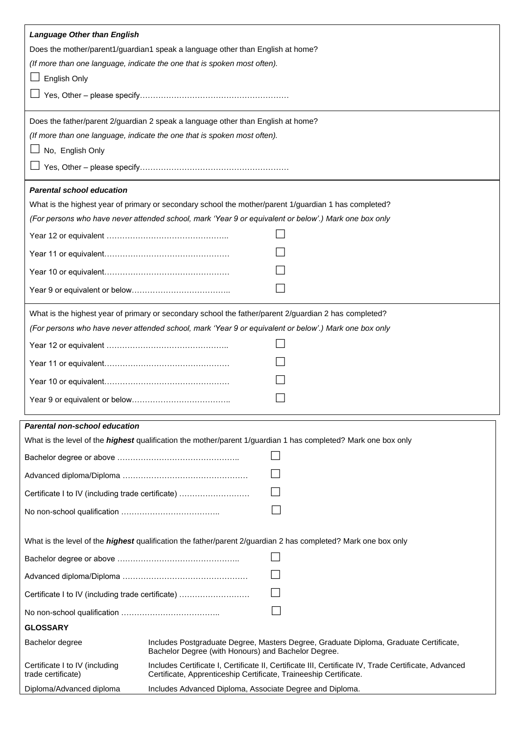| <b>Language Other than English</b>                                                                                                                              |                                                                                                                                                                           |  |  |  |  |  |
|-----------------------------------------------------------------------------------------------------------------------------------------------------------------|---------------------------------------------------------------------------------------------------------------------------------------------------------------------------|--|--|--|--|--|
| Does the mother/parent1/guardian1 speak a language other than English at home?                                                                                  |                                                                                                                                                                           |  |  |  |  |  |
| (If more than one language, indicate the one that is spoken most often).                                                                                        |                                                                                                                                                                           |  |  |  |  |  |
| English Only                                                                                                                                                    |                                                                                                                                                                           |  |  |  |  |  |
|                                                                                                                                                                 |                                                                                                                                                                           |  |  |  |  |  |
|                                                                                                                                                                 | Does the father/parent 2/guardian 2 speak a language other than English at home?                                                                                          |  |  |  |  |  |
|                                                                                                                                                                 | (If more than one language, indicate the one that is spoken most often).                                                                                                  |  |  |  |  |  |
| No, English Only                                                                                                                                                |                                                                                                                                                                           |  |  |  |  |  |
|                                                                                                                                                                 |                                                                                                                                                                           |  |  |  |  |  |
| <b>Parental school education</b>                                                                                                                                |                                                                                                                                                                           |  |  |  |  |  |
|                                                                                                                                                                 | What is the highest year of primary or secondary school the mother/parent 1/guardian 1 has completed?                                                                     |  |  |  |  |  |
|                                                                                                                                                                 | (For persons who have never attended school, mark 'Year 9 or equivalent or below'.) Mark one box only                                                                     |  |  |  |  |  |
|                                                                                                                                                                 |                                                                                                                                                                           |  |  |  |  |  |
|                                                                                                                                                                 |                                                                                                                                                                           |  |  |  |  |  |
|                                                                                                                                                                 |                                                                                                                                                                           |  |  |  |  |  |
|                                                                                                                                                                 |                                                                                                                                                                           |  |  |  |  |  |
|                                                                                                                                                                 |                                                                                                                                                                           |  |  |  |  |  |
|                                                                                                                                                                 | What is the highest year of primary or secondary school the father/parent 2/guardian 2 has completed?                                                                     |  |  |  |  |  |
| (For persons who have never attended school, mark 'Year 9 or equivalent or below'.) Mark one box only                                                           |                                                                                                                                                                           |  |  |  |  |  |
|                                                                                                                                                                 |                                                                                                                                                                           |  |  |  |  |  |
|                                                                                                                                                                 |                                                                                                                                                                           |  |  |  |  |  |
|                                                                                                                                                                 |                                                                                                                                                                           |  |  |  |  |  |
|                                                                                                                                                                 |                                                                                                                                                                           |  |  |  |  |  |
|                                                                                                                                                                 |                                                                                                                                                                           |  |  |  |  |  |
| <b>Parental non-school education</b>                                                                                                                            |                                                                                                                                                                           |  |  |  |  |  |
|                                                                                                                                                                 | What is the level of the <i>highest</i> qualification the mother/parent 1/guardian 1 has completed? Mark one box only                                                     |  |  |  |  |  |
|                                                                                                                                                                 |                                                                                                                                                                           |  |  |  |  |  |
|                                                                                                                                                                 |                                                                                                                                                                           |  |  |  |  |  |
| Certificate I to IV (including trade certificate)                                                                                                               |                                                                                                                                                                           |  |  |  |  |  |
|                                                                                                                                                                 |                                                                                                                                                                           |  |  |  |  |  |
|                                                                                                                                                                 |                                                                                                                                                                           |  |  |  |  |  |
| What is the level of the <i>highest</i> qualification the father/parent 2/guardian 2 has completed? Mark one box only                                           |                                                                                                                                                                           |  |  |  |  |  |
|                                                                                                                                                                 |                                                                                                                                                                           |  |  |  |  |  |
|                                                                                                                                                                 |                                                                                                                                                                           |  |  |  |  |  |
| Certificate I to IV (including trade certificate)                                                                                                               |                                                                                                                                                                           |  |  |  |  |  |
|                                                                                                                                                                 |                                                                                                                                                                           |  |  |  |  |  |
| <b>GLOSSARY</b>                                                                                                                                                 |                                                                                                                                                                           |  |  |  |  |  |
| Includes Postgraduate Degree, Masters Degree, Graduate Diploma, Graduate Certificate,<br>Bachelor degree<br>Bachelor Degree (with Honours) and Bachelor Degree. |                                                                                                                                                                           |  |  |  |  |  |
| Certificate I to IV (including<br>trade certificate)                                                                                                            | Includes Certificate I, Certificate II, Certificate III, Certificate IV, Trade Certificate, Advanced<br>Certificate, Apprenticeship Certificate, Traineeship Certificate. |  |  |  |  |  |
| Diploma/Advanced diploma                                                                                                                                        | Includes Advanced Diploma, Associate Degree and Diploma.                                                                                                                  |  |  |  |  |  |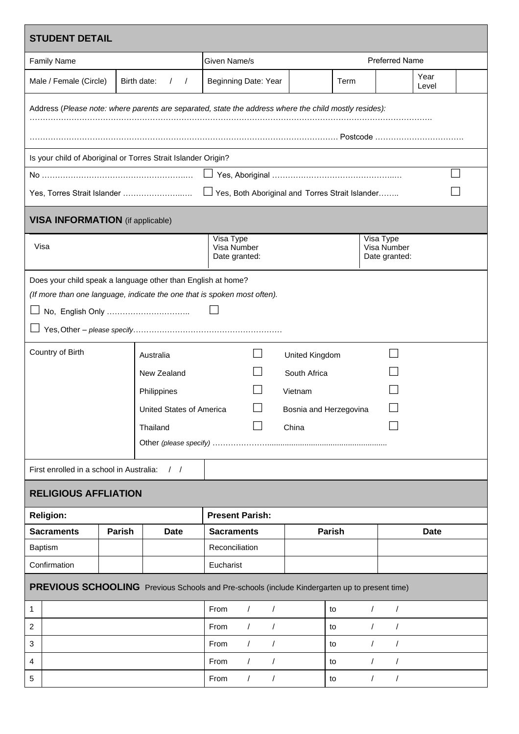| <b>STUDENT DETAIL</b>                                                                                 |        |                         |                                           |                          |       |                          |                                           |               |  |
|-------------------------------------------------------------------------------------------------------|--------|-------------------------|-------------------------------------------|--------------------------|-------|--------------------------|-------------------------------------------|---------------|--|
| <b>Family Name</b>                                                                                    |        |                         | Given Name/s                              |                          |       | <b>Preferred Name</b>    |                                           |               |  |
| Male / Female (Circle)                                                                                |        | Birth date:<br>$\prime$ |                                           | Beginning Date: Year     |       | Term                     |                                           | Year<br>Level |  |
| Address (Please note: where parents are separated, state the address where the child mostly resides): |        |                         |                                           |                          |       |                          |                                           |               |  |
|                                                                                                       |        |                         |                                           |                          |       |                          |                                           |               |  |
|                                                                                                       |        |                         |                                           |                          |       |                          |                                           |               |  |
| Is your child of Aboriginal or Torres Strait Islander Origin?                                         |        |                         |                                           |                          |       |                          |                                           |               |  |
|                                                                                                       |        |                         |                                           |                          |       |                          |                                           |               |  |
| <b>VISA INFORMATION</b> (if applicable)                                                               |        |                         |                                           |                          |       |                          |                                           |               |  |
| Visa                                                                                                  |        |                         | Visa Type<br>Visa Number<br>Date granted: |                          |       |                          | Visa Type<br>Visa Number<br>Date granted: |               |  |
| Does your child speak a language other than English at home?                                          |        |                         |                                           |                          |       |                          |                                           |               |  |
| (If more than one language, indicate the one that is spoken most often).                              |        |                         |                                           |                          |       |                          |                                           |               |  |
|                                                                                                       |        |                         |                                           |                          |       |                          |                                           |               |  |
|                                                                                                       |        |                         |                                           |                          |       |                          |                                           |               |  |
| Country of Birth<br>Australia                                                                         |        |                         | United Kingdom                            |                          |       |                          |                                           |               |  |
| New Zealand                                                                                           |        |                         | South Africa                              |                          |       |                          |                                           |               |  |
| Philippines                                                                                           |        |                         | Vietnam                                   |                          |       |                          |                                           |               |  |
| United States of America                                                                              |        |                         | Bosnia and Herzegovina                    |                          |       |                          |                                           |               |  |
| Thailand                                                                                              |        |                         |                                           |                          | China |                          |                                           |               |  |
|                                                                                                       |        |                         |                                           |                          |       |                          |                                           |               |  |
| First enrolled in a school in Australia:<br>$\frac{1}{2}$                                             |        |                         |                                           |                          |       |                          |                                           |               |  |
| <b>RELIGIOUS AFFLIATION</b>                                                                           |        |                         |                                           |                          |       |                          |                                           |               |  |
| <b>Religion:</b>                                                                                      |        |                         | <b>Present Parish:</b>                    |                          |       |                          |                                           |               |  |
| <b>Sacraments</b>                                                                                     | Parish | <b>Date</b>             | <b>Sacraments</b>                         |                          |       | Parish                   |                                           | <b>Date</b>   |  |
| <b>Baptism</b>                                                                                        |        |                         | Reconciliation                            |                          |       |                          |                                           |               |  |
| Confirmation                                                                                          |        | Eucharist               |                                           |                          |       |                          |                                           |               |  |
| PREVIOUS SCHOOLING Previous Schools and Pre-schools (include Kindergarten up to present time)         |        |                         |                                           |                          |       |                          |                                           |               |  |
| 1                                                                                                     |        | From                    | $\sqrt{ }$<br>$\prime$                    |                          | to    | $\sqrt{ }$<br>$\sqrt{2}$ |                                           |               |  |
| 2                                                                                                     |        | From                    | $\prime$<br>$\prime$                      |                          | to    | $\sqrt{ }$<br>$\prime$   |                                           |               |  |
| 3                                                                                                     |        |                         | From                                      | $\prime$<br>$\prime$     |       | to                       | $\sqrt{2}$<br>$\prime$                    |               |  |
| 4                                                                                                     |        |                         | From                                      | $\prime$<br>$\prime$     |       | to                       | $\prime$<br>$\prime$                      |               |  |
| 5                                                                                                     |        |                         | From                                      | $\sqrt{2}$<br>$\sqrt{2}$ |       | to                       | $\sqrt{2}$<br>$\sqrt{2}$                  |               |  |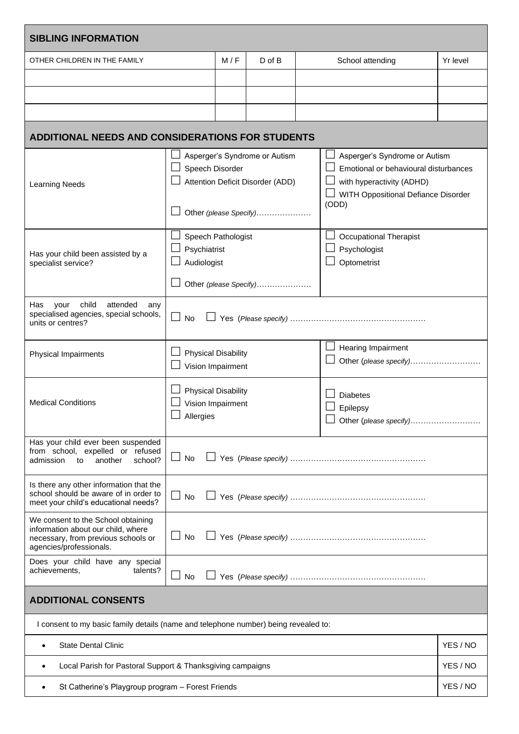| <b>SIBLING INFORMATION</b>                                                                                                                       |                                                   |                                                                                             |                        |  |                                                                                                                                                     |          |  |  |  |
|--------------------------------------------------------------------------------------------------------------------------------------------------|---------------------------------------------------|---------------------------------------------------------------------------------------------|------------------------|--|-----------------------------------------------------------------------------------------------------------------------------------------------------|----------|--|--|--|
| OTHER CHILDREN IN THE FAMILY                                                                                                                     |                                                   |                                                                                             | $D$ of $B$             |  | School attending                                                                                                                                    | Yr level |  |  |  |
|                                                                                                                                                  |                                                   |                                                                                             |                        |  |                                                                                                                                                     |          |  |  |  |
|                                                                                                                                                  |                                                   |                                                                                             |                        |  |                                                                                                                                                     |          |  |  |  |
|                                                                                                                                                  |                                                   |                                                                                             |                        |  |                                                                                                                                                     |          |  |  |  |
| <b>ADDITIONAL NEEDS AND CONSIDERATIONS FOR STUDENTS</b>                                                                                          |                                                   |                                                                                             |                        |  |                                                                                                                                                     |          |  |  |  |
| <b>Learning Needs</b>                                                                                                                            | Speech Disorder                                   | Asperger's Syndrome or Autism<br>Attention Deficit Disorder (ADD)<br>Other (please Specify) |                        |  | Asperger's Syndrome or Autism<br>Emotional or behavioural disturbances<br>with hyperactivity (ADHD)<br>WITH Oppositional Defiance Disorder<br>(ODD) |          |  |  |  |
| Has your child been assisted by a<br>specialist service?                                                                                         | Speech Pathologist<br>Psychiatrist<br>Audiologist |                                                                                             | Other (please Specify) |  | <b>Occupational Therapist</b><br>Psychologist<br>Optometrist                                                                                        |          |  |  |  |
| child<br>attended<br>Has<br>your<br>any<br>specialised agencies, special schools,<br>units or centres?                                           | $\vert \ \ \vert$<br><b>No</b>                    |                                                                                             |                        |  |                                                                                                                                                     |          |  |  |  |
| Physical Impairments                                                                                                                             | <b>Physical Disability</b><br>Vision Impairment   |                                                                                             |                        |  | Hearing Impairment<br>Other (please specify)                                                                                                        |          |  |  |  |
| <b>Physical Disability</b><br><b>Medical Conditions</b><br>Vision Impairment<br>$\Box$ Allergies                                                 |                                                   |                                                                                             |                        |  | <b>Diabetes</b><br>Epilepsy<br>Other (please specify)                                                                                               |          |  |  |  |
| Has your child ever been suspended<br>from school, expelled or refused<br>⊔<br>No<br>admission<br>another<br>school?<br>to                       |                                                   |                                                                                             |                        |  |                                                                                                                                                     |          |  |  |  |
| Is there any other information that the<br>school should be aware of in order to<br>⊔<br>No<br>meet your child's educational needs?              |                                                   |                                                                                             |                        |  |                                                                                                                                                     |          |  |  |  |
| We consent to the School obtaining<br>information about our child, where<br>No<br>necessary, from previous schools or<br>agencies/professionals. |                                                   |                                                                                             |                        |  |                                                                                                                                                     |          |  |  |  |
| Does your child have any special<br>achievements,<br>talents?<br><b>No</b>                                                                       |                                                   |                                                                                             |                        |  |                                                                                                                                                     |          |  |  |  |
| <b>ADDITIONAL CONSENTS</b>                                                                                                                       |                                                   |                                                                                             |                        |  |                                                                                                                                                     |          |  |  |  |
| I consent to my basic family details (name and telephone number) being revealed to:                                                              |                                                   |                                                                                             |                        |  |                                                                                                                                                     |          |  |  |  |
| <b>State Dental Clinic</b><br>٠                                                                                                                  |                                                   |                                                                                             | YES / NO               |  |                                                                                                                                                     |          |  |  |  |
| Local Parish for Pastoral Support & Thanksgiving campaigns<br>٠                                                                                  |                                                   |                                                                                             |                        |  |                                                                                                                                                     | YES / NO |  |  |  |
| St Catherine's Playgroup program - Forest Friends<br>٠                                                                                           |                                                   |                                                                                             |                        |  |                                                                                                                                                     |          |  |  |  |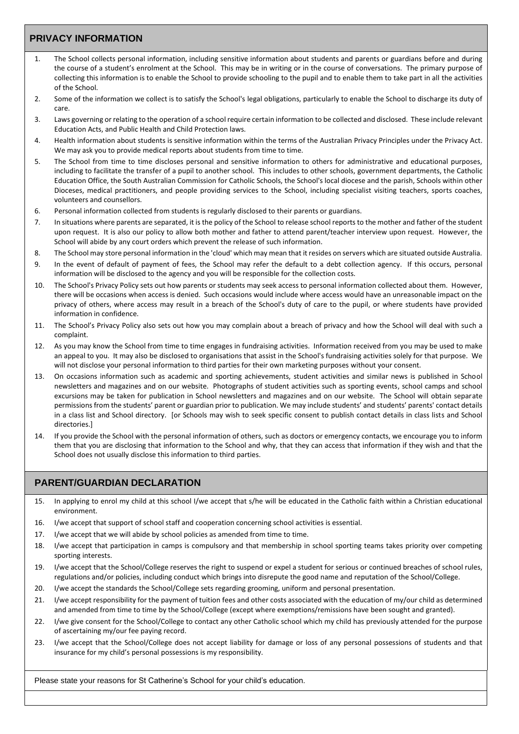## **PRIVACY INFORMATION**

- 1. The School collects personal information, including sensitive information about students and parents or guardians before and during the course of a student's enrolment at the School. This may be in writing or in the course of conversations. The primary purpose of collecting this information is to enable the School to provide schooling to the pupil and to enable them to take part in all the activities of the School.
- 2. Some of the information we collect is to satisfy the School's legal obligations, particularly to enable the School to discharge its duty of care.
- 3. Laws governing or relating to the operation of a school require certain information to be collected and disclosed. These include relevant Education Acts, and Public Health and Child Protection laws.
- 4. Health information about students is sensitive information within the terms of the Australian Privacy Principles under the Privacy Act. We may ask you to provide medical reports about students from time to time.
- 5. The School from time to time discloses personal and sensitive information to others for administrative and educational purposes, including to facilitate the transfer of a pupil to another school. This includes to other schools, government departments, the Catholic Education Office, the South Australian Commission for Catholic Schools, the School's local diocese and the parish, Schools within other Dioceses, medical practitioners, and people providing services to the School, including specialist visiting teachers, sports coaches, volunteers and counsellors.
- 6. Personal information collected from students is regularly disclosed to their parents or guardians.
- 7. In situations where parents are separated, it is the policy of the School to release school reports to the mother and father of the student upon request. It is also our policy to allow both mother and father to attend parent/teacher interview upon request. However, the School will abide by any court orders which prevent the release of such information.
- 8. The School may store personal information in the 'cloud' which may mean that it resides on servers which are situated outside Australia.
- 9. In the event of default of payment of fees, the School may refer the default to a debt collection agency. If this occurs, personal information will be disclosed to the agency and you will be responsible for the collection costs.
- 10. The School's Privacy Policy sets out how parents or students may seek access to personal information collected about them. However, there will be occasions when access is denied. Such occasions would include where access would have an unreasonable impact on the privacy of others, where access may result in a breach of the School's duty of care to the pupil, or where students have provided information in confidence.
- 11. The School's Privacy Policy also sets out how you may complain about a breach of privacy and how the School will deal with such a complaint.
- 12. As you may know the School from time to time engages in fundraising activities. Information received from you may be used to make an appeal to you. It may also be disclosed to organisations that assist in the School's fundraising activities solely for that purpose. We will not disclose your personal information to third parties for their own marketing purposes without your consent.
- 13. On occasions information such as academic and sporting achievements, student activities and similar news is published in School newsletters and magazines and on our website. Photographs of student activities such as sporting events, school camps and school excursions may be taken for publication in School newsletters and magazines and on our website. The School will obtain separate permissions from the students' parent or guardian prior to publication. We may include students' and students' parents' contact details in a class list and School directory. [or Schools may wish to seek specific consent to publish contact details in class lists and School directories.]
- 14. If you provide the School with the personal information of others, such as doctors or emergency contacts, we encourage you to inform them that you are disclosing that information to the School and why, that they can access that information if they wish and that the School does not usually disclose this information to third parties.

### **PARENT/GUARDIAN DECLARATION**

- 15. In applying to enrol my child at this school I/we accept that s/he will be educated in the Catholic faith within a Christian educational environment.
- 16. I/we accept that support of school staff and cooperation concerning school activities is essential.
- 17. I/we accept that we will abide by school policies as amended from time to time.
- 18. I/we accept that participation in camps is compulsory and that membership in school sporting teams takes priority over competing sporting interests.
- 19. I/we accept that the School/College reserves the right to suspend or expel a student for serious or continued breaches of school rules, regulations and/or policies, including conduct which brings into disrepute the good name and reputation of the School/College.
- 20. I/we accept the standards the School/College sets regarding grooming, uniform and personal presentation.
- 21. I/we accept responsibility for the payment of tuition fees and other costs associated with the education of my/our child as determined and amended from time to time by the School/College (except where exemptions/remissions have been sought and granted).
- 22. I/we give consent for the School/College to contact any other Catholic school which my child has previously attended for the purpose of ascertaining my/our fee paying record.
- 23. I/we accept that the School/College does not accept liability for damage or loss of any personal possessions of students and that insurance for my child's personal possessions is my responsibility.

Please state your reasons for St Catherine's School for your child's education.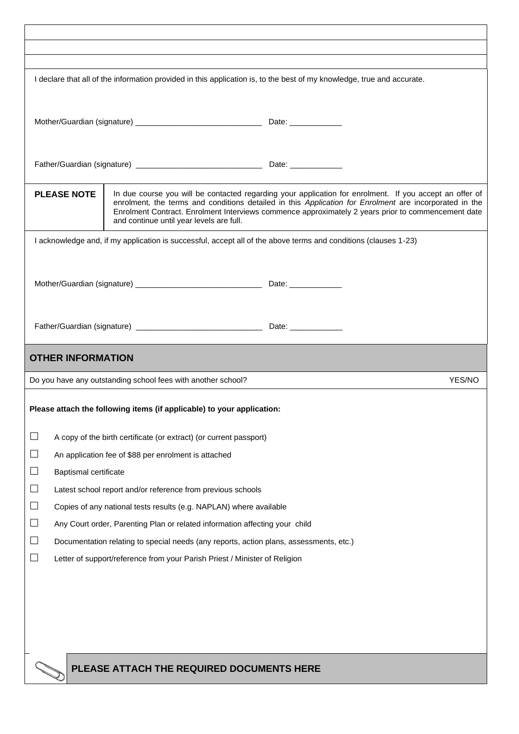| I declare that all of the information provided in this application is, to the best of my knowledge, true and accurate.                                                                                                                                                                                                                                                                    |                                                                                        |                                                                                                                 |  |        |  |  |
|-------------------------------------------------------------------------------------------------------------------------------------------------------------------------------------------------------------------------------------------------------------------------------------------------------------------------------------------------------------------------------------------|----------------------------------------------------------------------------------------|-----------------------------------------------------------------------------------------------------------------|--|--------|--|--|
|                                                                                                                                                                                                                                                                                                                                                                                           |                                                                                        |                                                                                                                 |  |        |  |  |
|                                                                                                                                                                                                                                                                                                                                                                                           |                                                                                        |                                                                                                                 |  |        |  |  |
|                                                                                                                                                                                                                                                                                                                                                                                           |                                                                                        |                                                                                                                 |  |        |  |  |
|                                                                                                                                                                                                                                                                                                                                                                                           |                                                                                        |                                                                                                                 |  |        |  |  |
|                                                                                                                                                                                                                                                                                                                                                                                           |                                                                                        |                                                                                                                 |  |        |  |  |
|                                                                                                                                                                                                                                                                                                                                                                                           |                                                                                        |                                                                                                                 |  |        |  |  |
| <b>PLEASE NOTE</b><br>In due course you will be contacted regarding your application for enrolment. If you accept an offer of<br>enrolment, the terms and conditions detailed in this Application for Enrolment are incorporated in the<br>Enrolment Contract. Enrolment Interviews commence approximately 2 years prior to commencement date<br>and continue until year levels are full. |                                                                                        |                                                                                                                 |  |        |  |  |
|                                                                                                                                                                                                                                                                                                                                                                                           |                                                                                        | I acknowledge and, if my application is successful, accept all of the above terms and conditions (clauses 1-23) |  |        |  |  |
|                                                                                                                                                                                                                                                                                                                                                                                           |                                                                                        |                                                                                                                 |  |        |  |  |
|                                                                                                                                                                                                                                                                                                                                                                                           |                                                                                        |                                                                                                                 |  |        |  |  |
|                                                                                                                                                                                                                                                                                                                                                                                           |                                                                                        |                                                                                                                 |  |        |  |  |
|                                                                                                                                                                                                                                                                                                                                                                                           |                                                                                        |                                                                                                                 |  |        |  |  |
|                                                                                                                                                                                                                                                                                                                                                                                           |                                                                                        |                                                                                                                 |  |        |  |  |
|                                                                                                                                                                                                                                                                                                                                                                                           |                                                                                        |                                                                                                                 |  |        |  |  |
|                                                                                                                                                                                                                                                                                                                                                                                           | <b>OTHER INFORMATION</b>                                                               |                                                                                                                 |  |        |  |  |
|                                                                                                                                                                                                                                                                                                                                                                                           |                                                                                        | Do you have any outstanding school fees with another school?                                                    |  | YES/NO |  |  |
|                                                                                                                                                                                                                                                                                                                                                                                           |                                                                                        |                                                                                                                 |  |        |  |  |
| Please attach the following items (if applicable) to your application:                                                                                                                                                                                                                                                                                                                    |                                                                                        |                                                                                                                 |  |        |  |  |
|                                                                                                                                                                                                                                                                                                                                                                                           |                                                                                        |                                                                                                                 |  |        |  |  |
| $\Box$                                                                                                                                                                                                                                                                                                                                                                                    | A copy of the birth certificate (or extract) (or current passport)                     |                                                                                                                 |  |        |  |  |
| $\Box$                                                                                                                                                                                                                                                                                                                                                                                    | An application fee of \$88 per enrolment is attached                                   |                                                                                                                 |  |        |  |  |
| $\Box$                                                                                                                                                                                                                                                                                                                                                                                    | Baptismal certificate                                                                  |                                                                                                                 |  |        |  |  |
| $\Box$                                                                                                                                                                                                                                                                                                                                                                                    | Latest school report and/or reference from previous schools                            |                                                                                                                 |  |        |  |  |
| $\Box$                                                                                                                                                                                                                                                                                                                                                                                    | Copies of any national tests results (e.g. NAPLAN) where available                     |                                                                                                                 |  |        |  |  |
| $\Box$                                                                                                                                                                                                                                                                                                                                                                                    |                                                                                        |                                                                                                                 |  |        |  |  |
| $\Box$                                                                                                                                                                                                                                                                                                                                                                                    | Any Court order, Parenting Plan or related information affecting your child            |                                                                                                                 |  |        |  |  |
|                                                                                                                                                                                                                                                                                                                                                                                           | Documentation relating to special needs (any reports, action plans, assessments, etc.) |                                                                                                                 |  |        |  |  |
| $\Box$<br>Letter of support/reference from your Parish Priest / Minister of Religion                                                                                                                                                                                                                                                                                                      |                                                                                        |                                                                                                                 |  |        |  |  |
|                                                                                                                                                                                                                                                                                                                                                                                           |                                                                                        |                                                                                                                 |  |        |  |  |
|                                                                                                                                                                                                                                                                                                                                                                                           |                                                                                        |                                                                                                                 |  |        |  |  |
|                                                                                                                                                                                                                                                                                                                                                                                           |                                                                                        |                                                                                                                 |  |        |  |  |
|                                                                                                                                                                                                                                                                                                                                                                                           |                                                                                        |                                                                                                                 |  |        |  |  |
|                                                                                                                                                                                                                                                                                                                                                                                           |                                                                                        |                                                                                                                 |  |        |  |  |
|                                                                                                                                                                                                                                                                                                                                                                                           |                                                                                        |                                                                                                                 |  |        |  |  |
|                                                                                                                                                                                                                                                                                                                                                                                           |                                                                                        | PLEASE ATTACH THE REQUIRED DOCUMENTS HERE                                                                       |  |        |  |  |
|                                                                                                                                                                                                                                                                                                                                                                                           |                                                                                        |                                                                                                                 |  |        |  |  |